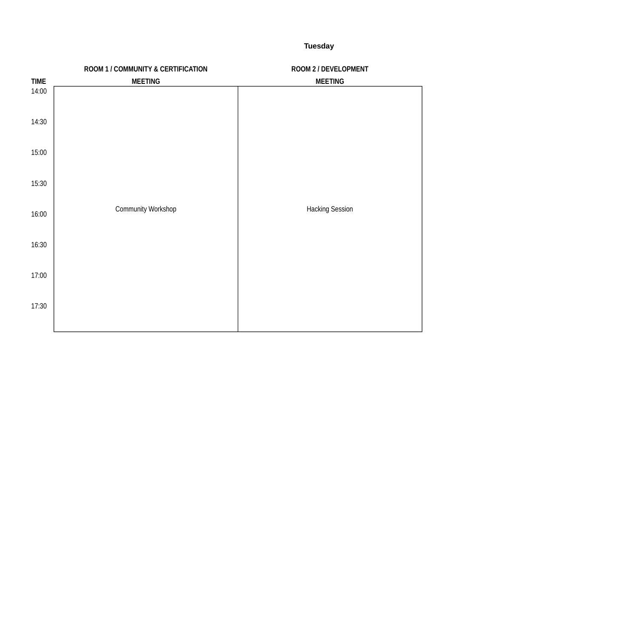**Tuesday**

|             | ROOM 1 / COMMUNITY & CERTIFICATION | ROOM 2 / DEVELOPMENT   |
|-------------|------------------------------------|------------------------|
| <b>TIME</b> | <b>MEETING</b>                     | <b>MEETING</b>         |
| 14:00       |                                    |                        |
| 14:30       |                                    |                        |
| 15:00       |                                    |                        |
| 15:30       |                                    |                        |
| 16:00       | <b>Community Workshop</b>          | <b>Hacking Session</b> |
| 16:30       |                                    |                        |
| 17:00       |                                    |                        |
| 17:30       |                                    |                        |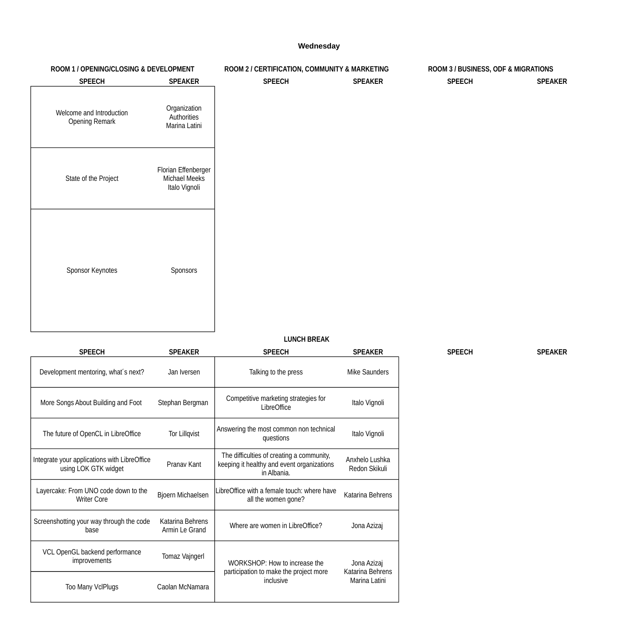### **Wednesday**

### **LUNCH BREAK**

| ROOM 1 / OPENING/CLOSING & DEVELOPMENT            |                                                       | ROOM 2 / CERTIFICATION, COMMUNITY & MARKETING |                | ROOM 3 / BUSINESS, ODF & MIGRATIONS |                |
|---------------------------------------------------|-------------------------------------------------------|-----------------------------------------------|----------------|-------------------------------------|----------------|
| <b>SPEECH</b>                                     | <b>SPEAKER</b>                                        | <b>SPEECH</b>                                 | <b>SPEAKER</b> | <b>SPEECH</b>                       | <b>SPEAKER</b> |
| Welcome and Introduction<br><b>Opening Remark</b> | Organization<br>Authorities<br>Marina Latini          |                                               |                |                                     |                |
| State of the Project                              | Florian Effenberger<br>Michael Meeks<br>Italo Vignoli |                                               |                |                                     |                |
| <b>Sponsor Keynotes</b>                           | Sponsors                                              |                                               |                |                                     |                |

| <b>SPEECH</b>                                                        | <b>SPEAKER</b>                            | <b>SPEECH</b>                                                                                          | <b>SPEAKER</b>                    | <b>SPEECH</b> | <b>SPEAKER</b> |
|----------------------------------------------------------------------|-------------------------------------------|--------------------------------------------------------------------------------------------------------|-----------------------------------|---------------|----------------|
| Development mentoring, what's next?                                  | Jan Iversen                               | Talking to the press                                                                                   | Mike Saunders                     |               |                |
| More Songs About Building and Foot                                   | Stephan Bergman                           | Competitive marketing strategies for<br>LibreOffice                                                    | Italo Vignoli                     |               |                |
| The future of OpenCL in LibreOffice                                  | <b>Tor Lillqvist</b>                      | Answering the most common non technical<br>questions                                                   | Italo Vignoli                     |               |                |
| Integrate your applications with LibreOffice<br>using LOK GTK widget | Pranav Kant                               | The difficulties of creating a community,<br>keeping it healthy and event organizations<br>in Albania. | Anxhelo Lushka<br>Redon Skikuli   |               |                |
| Layercake: From UNO code down to the<br><b>Writer Core</b>           | <b>Bjoern Michaelsen</b>                  | LibreOffice with a female touch: where have<br>all the women gone?                                     | <b>Katarina Behrens</b>           |               |                |
| Screenshotting your way through the code<br>base                     | <b>Katarina Behrens</b><br>Armin Le Grand | Where are women in LibreOffice?                                                                        | Jona Azizaj                       |               |                |
| VCL OpenGL backend performance<br><i>improvements</i>                | <b>Tomaz Vajngerl</b>                     | WORKSHOP: How to increase the                                                                          | Jona Azizaj                       |               |                |
| <b>Too Many VclPlugs</b>                                             | Caolan McNamara                           | participation to make the project more<br>inclusive                                                    | Katarina Behrens<br>Marina Latini |               |                |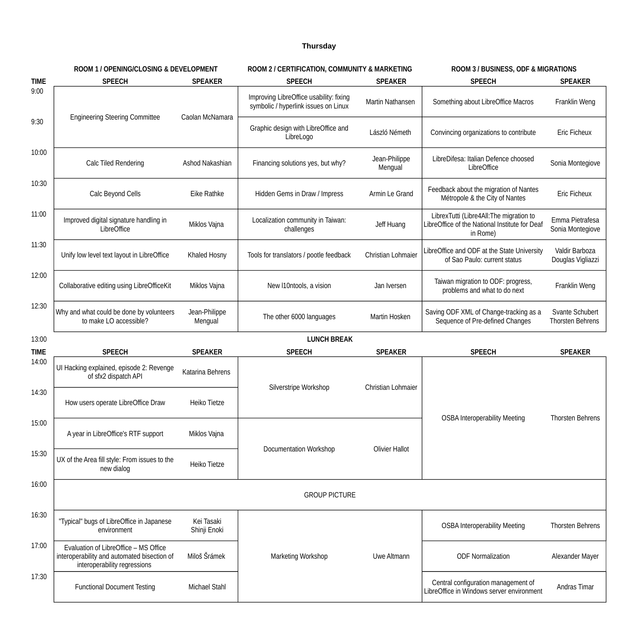# **Thursday**

|             | <b>ROOM 1 / OPENING/CLOSING &amp; DEVELOPMENT</b>                                                                    |                            | ROOM 2 / CERTIFICATION, COMMUNITY & MARKETING                                   |                           | <b>ROOM 3 / BUSINESS, ODF &amp; MIGRATIONS</b>                                                        |                                                   |
|-------------|----------------------------------------------------------------------------------------------------------------------|----------------------------|---------------------------------------------------------------------------------|---------------------------|-------------------------------------------------------------------------------------------------------|---------------------------------------------------|
| <b>TIME</b> | <b>SPEECH</b>                                                                                                        | <b>SPEAKER</b>             | <b>SPEECH</b>                                                                   | <b>SPEAKER</b>            | <b>SPEECH</b>                                                                                         | <b>SPEAKER</b>                                    |
| 9:00        | <b>Engineering Steering Committee</b>                                                                                | Caolan McNamara            | Improving LibreOffice usability: fixing<br>symbolic / hyperlink issues on Linux | <b>Martin Nathansen</b>   | Something about LibreOffice Macros                                                                    | Franklin Weng                                     |
| 9:30        |                                                                                                                      |                            | Graphic design with LibreOffice and<br>LibreLogo                                | László Németh             | Convincing organizations to contribute                                                                | <b>Eric Ficheux</b>                               |
| 10:00       | Calc Tiled Rendering                                                                                                 | Ashod Nakashian            | Financing solutions yes, but why?                                               | Jean-Philippe<br>Mengual  | LibreDifesa: Italian Defence choosed<br>LibreOffice                                                   | Sonia Montegiove                                  |
| 10:30       | Calc Beyond Cells                                                                                                    | Eike Rathke                | Hidden Gems in Draw / Impress                                                   | Armin Le Grand            | Feedback about the migration of Nantes<br>Métropole & the City of Nantes                              | <b>Eric Ficheux</b>                               |
| 11:00       | Improved digital signature handling in<br>LibreOffice                                                                | Miklos Vajna               | Localization community in Taiwan:<br>challenges                                 | Jeff Huang                | LibrexTutti (Libre4All:The migration to<br>LibreOffice of the National Institute for Deaf<br>in Rome) | Emma Pietrafesa<br>Sonia Montegiove               |
| 11:30       | Unify low level text layout in LibreOffice                                                                           | Khaled Hosny               | Tools for translators / pootle feedback                                         | <b>Christian Lohmaier</b> | LibreOffice and ODF at the State University<br>of Sao Paulo: current status                           | Valdir Barboza<br>Douglas Vigliazzi               |
| 12:00       | Collaborative editing using LibreOfficeKit                                                                           | Miklos Vajna               | New I10ntools, a vision                                                         | Jan Iversen               | Taiwan migration to ODF: progress,<br>problems and what to do next                                    | Franklin Weng                                     |
| 12:30       | Why and what could be done by volunteers<br>to make LO accessible?                                                   | Jean-Philippe<br>Mengual   | The other 6000 languages                                                        | Martin Hosken             | Saving ODF XML of Change-tracking as a<br>Sequence of Pre-defined Changes                             | <b>Svante Schubert</b><br><b>Thorsten Behrens</b> |
| 13:00       |                                                                                                                      |                            | <b>LUNCH BREAK</b>                                                              |                           |                                                                                                       |                                                   |
| <b>TIME</b> | <b>SPEECH</b>                                                                                                        | <b>SPEAKER</b>             | <b>SPEECH</b>                                                                   | <b>SPEAKER</b>            | <b>SPEECH</b>                                                                                         | <b>SPEAKER</b>                                    |
| 14:00       | UI Hacking explained, episode 2: Revenge<br>of sfx2 dispatch API                                                     | Katarina Behrens           |                                                                                 |                           |                                                                                                       |                                                   |
| 14:30       | How users operate LibreOffice Draw                                                                                   | <b>Heiko Tietze</b>        | Silverstripe Workshop                                                           | <b>Christian Lohmaier</b> |                                                                                                       |                                                   |
| 15:00       | A year in LibreOffice's RTF support                                                                                  | Miklos Vajna               |                                                                                 |                           | <b>OSBA Interoperability Meeting</b>                                                                  | <b>Thorsten Behrens</b>                           |
| 15:30       | UX of the Area fill style: From issues to the<br>new dialog                                                          | <b>Heiko Tietze</b>        | Documentation Workshop                                                          | <b>Olivier Hallot</b>     |                                                                                                       |                                                   |
| 16:00       |                                                                                                                      |                            | <b>GROUP PICTURE</b>                                                            |                           |                                                                                                       |                                                   |
| 16:30       | "Typical" bugs of LibreOffice in Japanese<br>environment                                                             | Kei Tasaki<br>Shinji Enoki |                                                                                 |                           | <b>OSBA Interoperability Meeting</b>                                                                  | <b>Thorsten Behrens</b>                           |
| 17:00       | Evaluation of LibreOffice – MS Office<br>interoperability and automated bisection of<br>interoperability regressions | Miloš Šrámek               | <b>Marketing Workshop</b>                                                       | Uwe Altmann               | <b>ODF Normalization</b>                                                                              | Alexander Mayer                                   |
| 17:30       | <b>Functional Document Testing</b>                                                                                   | <b>Michael Stahl</b>       |                                                                                 |                           | Central configuration management of<br>LibreOffice in Windows server environment                      | <b>Andras Timar</b>                               |